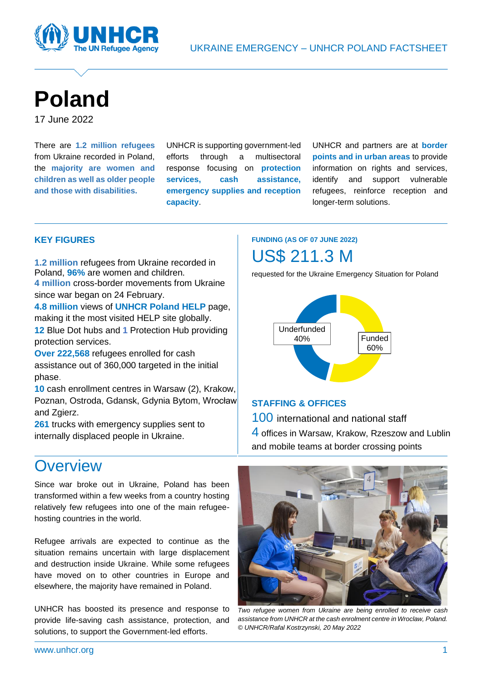



# **Poland**

17 June 2022

There are **1.2 million refugees** from Ukraine recorded in Poland, the **majority are women and children as well as older people and those with disabilities.**

UNHCR is supporting government-led efforts through a multisectoral response focusing on **protection services, cash assistance, emergency supplies and reception capacity**.

UNHCR and partners are at **border points and in urban areas** to provide information on rights and services, identify and support vulnerable refugees, reinforce reception and longer-term solutions.

#### **KEY FIGURES**

**1.2 million** refugees from Ukraine recorded in Poland, **96%** are women and children. **4 million** cross-border movements from Ukraine

since war began on 24 February.

**4.8 million** views of **[UNHCR Poland HELP](https://help.unhcr.org/poland/)** page, making it the most visited HELP site globally.

**12** Blue Dot hubs and **1** Protection Hub providing protection services.

**Over 222,568** refugees enrolled for cash assistance out of 360,000 targeted in the initial phase.

**10** cash enrollment centres in Warsaw (2), Krakow, Poznan, Ostroda, Gdansk, Gdynia Bytom, Wrocław and Zgierz.

**261** trucks with emergency supplies sent to internally displaced people in Ukraine.

## **Overview**

Since war broke out in Ukraine, Poland has been transformed within a few weeks from a country hosting relatively few refugees into one of the main refugeehosting countries in the world.

Refugee arrivals are expected to continue as the situation remains uncertain with large displacement and destruction inside Ukraine. While some refugees have moved on to other countries in Europe and elsewhere, the majority have remained in Poland.

UNHCR has boosted its presence and response to provide life-saving cash assistance, protection, and solutions, to support the Government-led efforts.

### **FUNDING (AS OF 07 JUNE 2022)** US\$ 211.3 M

requested for the Ukraine Emergency Situation for Poland



#### **STAFFING & OFFICES**

100 international and national staff 4 offices in Warsaw, Krakow, Rzeszow and Lublin and mobile teams at border crossing points



*Two refugee women from Ukraine are being enrolled to receive cash assistance from UNHCR at the cash enrolment centre in Wroclaw, Poland. © UNHCR/Rafal Kostrzynski, 20 May 2022*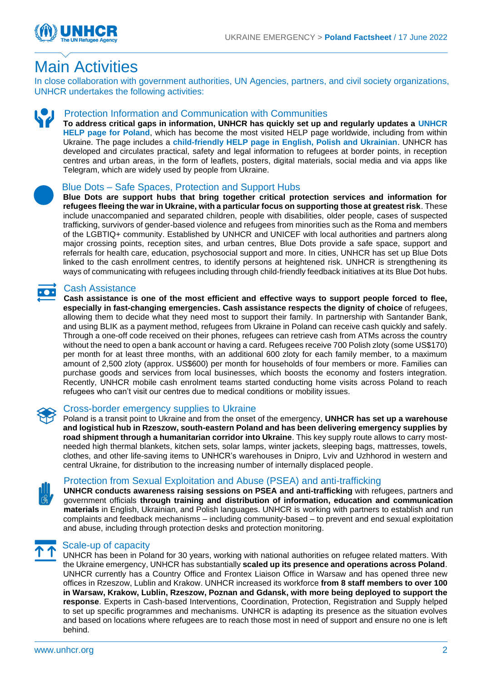

## Main Activities

In close collaboration with government authorities, UN Agencies, partners, and civil society organizations, UNHCR undertakes the following activities:



#### Protection Information and Communication with Communities

**To address critical gaps in information, UNHCR has quickly set up and regularly updates a [UNHCR](https://help.unhcr.org/poland/)  [HELP page for Poland](https://help.unhcr.org/poland/)**, which has become the most visited HELP page worldwide, including from within Ukraine. The page includes a **[child-friendly HELP page in English, Polish and Ukrainian](https://help.unhcr.org/poland/information-for-new-arrivals-from-ukraine/are-you-under-age-18/)**. UNHCR has developed and circulates practical, safety and legal information to refugees at border points, in reception centres and urban areas, in the form of leaflets, posters, digital materials, social media and via apps like Telegram, which are widely used by people from Ukraine.



#### Blue Dots – Safe Spaces, Protection and Support Hubs

**Blue Dots are support hubs that bring together critical protection services and information for refugees fleeing the war in Ukraine, with a particular focus on supporting those at greatest risk**. These include unaccompanied and separated children, people with disabilities, older people, cases of suspected trafficking, survivors of gender-based violence and refugees from minorities such as the Roma and members of the LGBTIQ+ community. Established by UNHCR and UNICEF with local authorities and partners along major crossing points, reception sites, and urban centres, Blue Dots provide a safe space, support and referrals for health care, education, psychosocial support and more. In cities, UNHCR has set up Blue Dots linked to the cash enrollment centres, to identify persons at heightened risk. UNHCR is strengthening its ways of communicating with refugees including through child-friendly feedback initiatives at its Blue Dot hubs.

#### Cash Assistance

**Cash assistance is one of the most efficient and effective ways to support people forced to flee, especially in fast-changing emergencies. Cash assistance respects the dignity of choice** of refugees, allowing them to decide what they need most to support their family. In partnership with Santander Bank, and using BLIK as a payment method, refugees from Ukraine in Poland can receive cash quickly and safely. Through a one-off code received on their phones, refugees can retrieve cash from ATMs across the country without the need to open a bank account or having a card. Refugees receive 700 Polish zloty (some US\$170) per month for at least three months, with an additional 600 zloty for each family member, to a maximum amount of 2,500 zloty (approx. US\$600) per month for households of four members or more. Families can purchase goods and services from local businesses, which boosts the economy and fosters integration. Recently, UNHCR mobile cash enrolment teams started conducting home visits across Poland to reach refugees who can't visit our centres due to medical conditions or mobility issues.



#### Cross-border emergency supplies to Ukraine

Poland is a transit point to Ukraine and from the onset of the emergency, **UNHCR has set up a warehouse and logistical hub in Rzeszow, south-eastern Poland and has been delivering emergency supplies by road shipment through a humanitarian corridor into Ukraine**. This key supply route allows to carry mostneeded high thermal blankets, kitchen sets, solar lamps, winter jackets, sleeping bags, mattresses, towels, clothes, and other life-saving items to UNHCR's warehouses in Dnipro, Lviv and Uzhhorod in western and central Ukraine, for distribution to the increasing number of internally displaced people.



#### [Protection from Sexual Exploitation and Abuse \(PSEA\)](https://www.humanitarianresponse.info/en/operations/bangladesh/protection-sexual-exploitation-and-abuse) and anti-trafficking

**UNHCR conducts awareness raising sessions on PSEA and anti-trafficking** with refugees, partners and government officials **through training and distribution of information, education and communication materials** in English, Ukrainian, and Polish languages. UNHCR is working with partners to establish and run complaints and feedback mechanisms – including community-based – to prevent and end sexual exploitation and abuse, including through protection desks and protection monitoring.



#### Scale-up of capacity

UNHCR has been in Poland for 30 years, working with national authorities on refugee related matters. With the Ukraine emergency, UNHCR has substantially **scaled up its presence and operations across Poland**. UNHCR currently has a Country Office and Frontex Liaison Office in Warsaw and has opened three new offices in Rzeszow, Lublin and Krakow. UNHCR increased its workforce **from 8 staff members to over 100 in Warsaw, Krakow, Lublin, Rzeszow, Poznan and Gdansk, with more being deployed to support the response**. Experts in Cash-based Interventions, Coordination, Protection, Registration and Supply helped to set up specific programmes and mechanisms. UNHCR is adapting its presence as the situation evolves and based on locations where refugees are to reach those most in need of support and ensure no one is left behind.